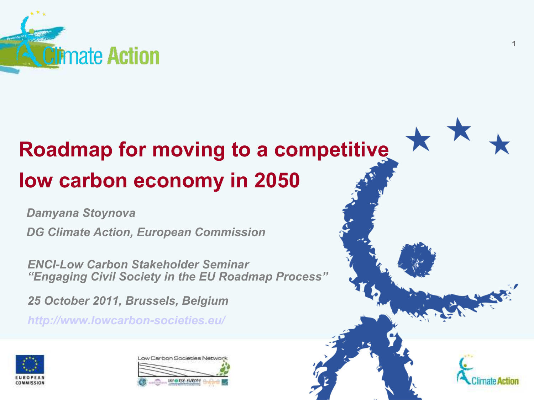

#### **Roadmap for moving to a competitive low carbon economy in 2050**

*Damyana Stoynova*

*DG Climate Action, European Commission*

*ENCI-Low Carbon Stakeholder Seminar "Engaging Civil Society in the EU Roadmap Process"* 

*25 October 2011, Brussels, Belgium*

*<http://www.lowcarbon-societies.eu/>*







**1**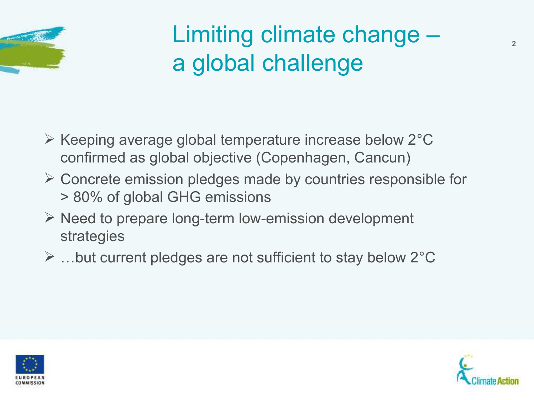

#### Limiting climate change – a global challenge

- $\triangleright$  Keeping average global temperature increase below 2°C confirmed as global objective (Copenhagen, Cancun)
- Concrete emission pledges made by countries responsible for > 80% of global GHG emissions
- $\triangleright$  Need to prepare long-term low-emission development strategies
- $\triangleright$  ... but current pledges are not sufficient to stay below 2 $^{\circ}$ C



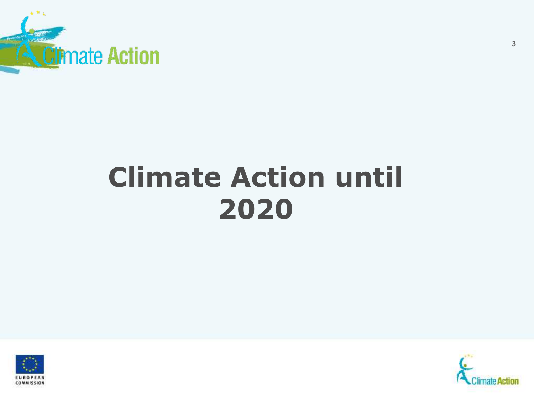

# **Climate Action until**



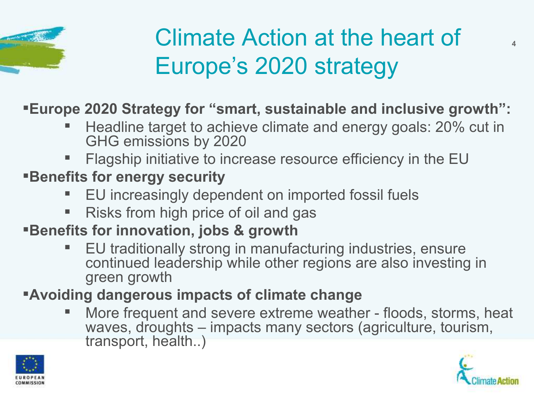

# Climate Action at the heart of Europe's 2020 strategy

#### **Europe 2020 Strategy for "smart, sustainable and inclusive growth":**

- Headline target to achieve climate and energy goals: 20% cut in GHG emissions by 2020
- Flagship initiative to increase resource efficiency in the EU

#### **Benefits for energy security**

- EU increasingly dependent on imported fossil fuels
- Risks from high price of oil and gas

#### **Benefits for innovation, jobs & growth**

- EU traditionally strong in manufacturing industries, ensure continued leadership while other regions are also investing in green growth
- **Avoiding dangerous impacts of climate change**
	- More frequent and severe extreme weather floods, storms, heat waves, droughts – impacts many sectors (agriculture, tourism, transport, health..)



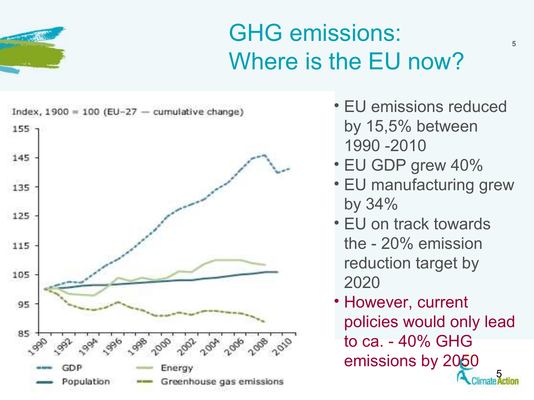

### GHG emissions: Where is the EU now?



- EU emissions reduced by 15,5% between 1990 -2010
- EU GDP grew 40%
- EU manufacturing grew by 34%
- EU on track towards the - 20% emission reduction target by 2020
- 5 • However, current policies would only lead to ca. - 40% GHG emissions by 2050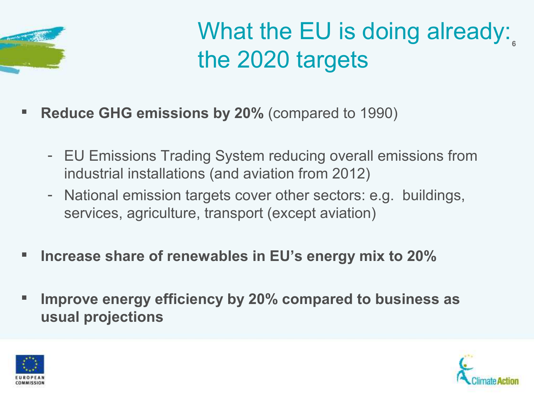

What the EU is doing already: the 2020 targets

- **Reduce GHG emissions by 20%** (compared to 1990)
	- EU Emissions Trading System reducing overall emissions from industrial installations (and aviation from 2012)
	- National emission targets cover other sectors: e.g. buildings, services, agriculture, transport (except aviation)
- **Increase share of renewables in EU's energy mix to 20%**
- **Improve energy efficiency by 20% compared to business as usual projections**



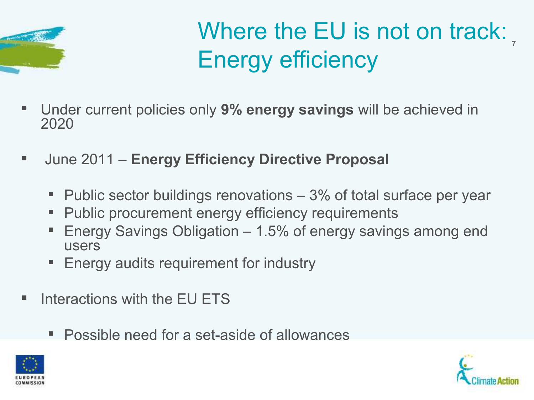

# Where the EU is not on track: Energy efficiency

- Under current policies only **9% energy savings** will be achieved in 2020
- June 2011 **Energy Efficiency Directive Proposal** 
	- $\blacksquare$  Public sector buildings renovations  $-3\%$  of total surface per year
	- **Public procurement energy efficiency requirements**
	- Energy Savings Obligation 1.5% of energy savings among end users
	- Energy audits requirement for industry
- Interactions with the EU ETS
	- **Possible need for a set-aside of allowances**



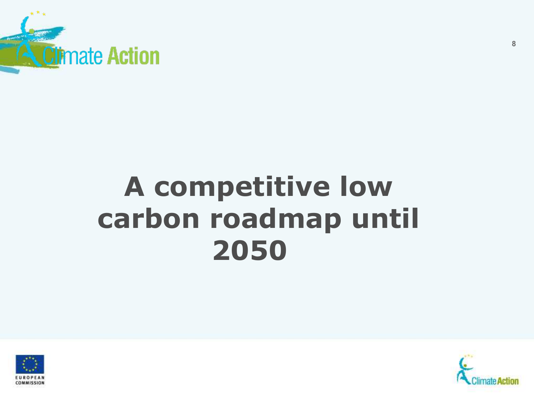

# **A competitive low carbon roadmap until 2050**



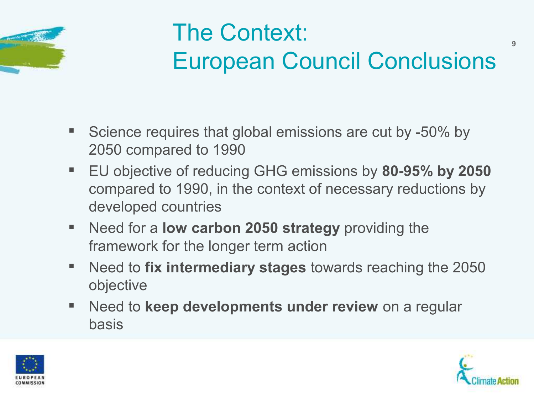

# The Context: European Council Conclusions

- Science requires that global emissions are cut by -50% by 2050 compared to 1990
- EU objective of reducing GHG emissions by **80-95% by 2050** compared to 1990, in the context of necessary reductions by developed countries
- **Need for a low carbon 2050 strategy** providing the framework for the longer term action
- **Need to fix intermediary stages towards reaching the 2050** objective
- **Need to keep developments under review** on a regular basis





**9**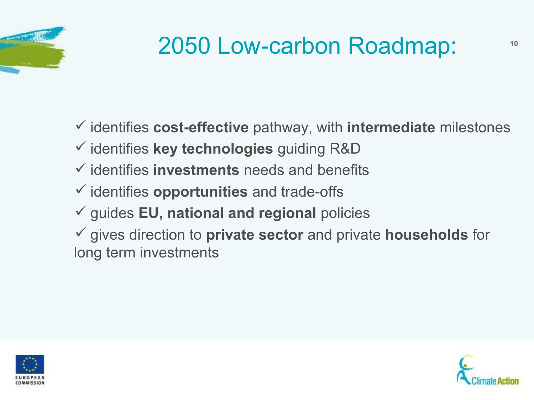

### 2050 Low-carbon Roadmap:

identifies **cost-effective** pathway, with **intermediate** milestones

- identifies **key technologies** guiding R&D
- identifies **investments** needs and benefits
- identifies **opportunities** and trade-offs
- guides **EU, national and regional** policies

 gives direction to **private sector** and private **households** for long term investments



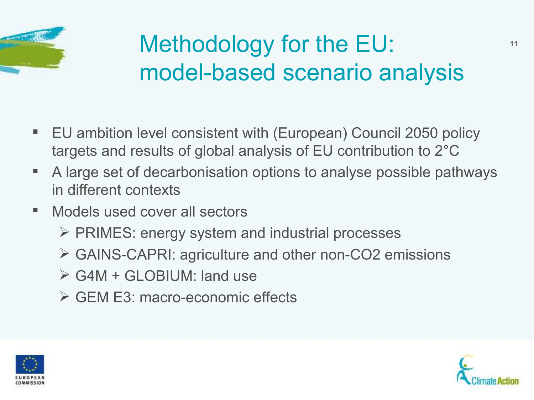

### Methodology for the EU: 11 model-based scenario analysis

- EU ambition level consistent with (European) Council 2050 policy targets and results of global analysis of EU contribution to 2°C
- A large set of decarbonisation options to analyse possible pathways in different contexts
- Models used cover all sectors
	- $\triangleright$  PRIMES: energy system and industrial processes
	- GAINS-CAPRI: agriculture and other non-CO2 emissions
	- $\triangleright$  G4M + GLOBIUM: land use
	- GEM E3: macro-economic effects



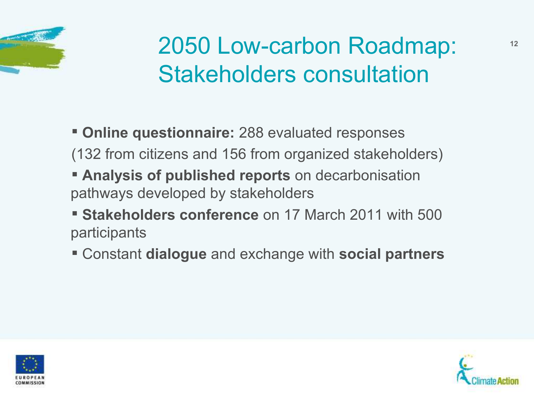

### 2050 Low-carbon Roadmap: Stakeholders consultation

 **Online questionnaire:** 288 evaluated responses (132 from citizens and 156 from organized stakeholders)

- **Analysis of published reports** on decarbonisation pathways developed by stakeholders
- **Stakeholders conference** on 17 March 2011 with 500 participants
- Constant **dialogue** and exchange with **social partners**



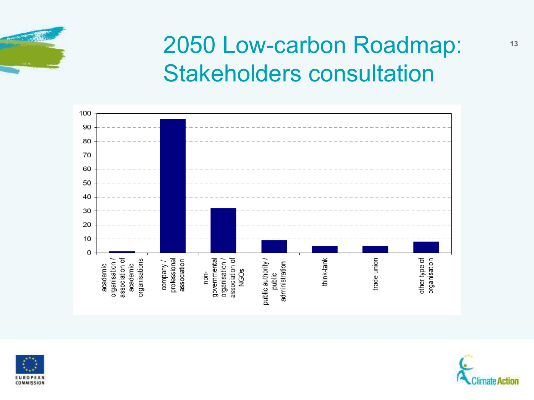

#### 2050 Low-carbon Roadmap: Stakeholders consultation





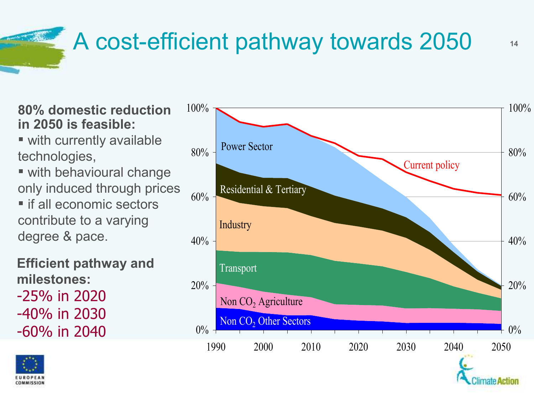# A cost-efficient pathway towards 2050

**80% domestic reduction in 2050 is feasible:**

• with currently available technologies,

**• with behavioural change** only induced through prices  $\blacksquare$  if all economic sectors contribute to a varying degree & pace.

**Efficient pathway and milestones:** -25% in 2020 -40% in 2030 -60% in 2040



**14**

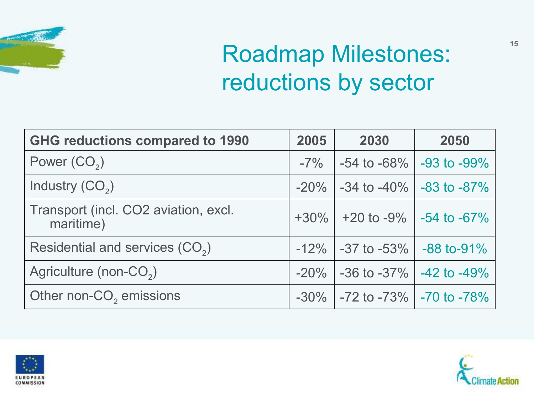

### Roadmap Milestones: reductions by sector

| GHG reductions compared to 1990                   | 2005    | 2030                                          | 2050             |
|---------------------------------------------------|---------|-----------------------------------------------|------------------|
| Power $(CO_2)$                                    | $-7\%$  | $-54$ to $-68\%$                              | $-93$ to $-99\%$ |
| Industry $(CO_2)$                                 | $-20\%$ | $-34$ to $-40\%$ $-83$ to $-87\%$             |                  |
| Transport (incl. CO2 aviation, excl.<br>maritime) |         | $+30\%$ +20 to -9% -54 to -67%                |                  |
| Residential and services (CO <sub>2</sub> )       |         | $-12\%$ -37 to $-53\%$                        | $-88$ to-91%     |
| Agriculture (non-CO <sub>2</sub> )                | $-20\%$ | $-36$ to $-37\%$                              | $-42$ to $-49\%$ |
| Other non-CO <sub>2</sub> emissions               |         | $-30\%$   $-72$ to $-73\%$   $-70$ to $-78\%$ |                  |



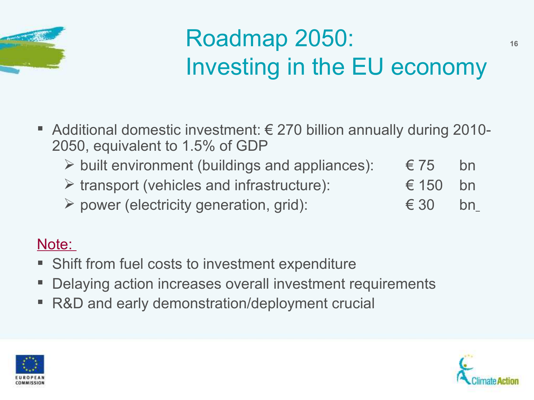

# Roadmap 2050: Investing in the EU economy

- Additional domestic investment:  $\epsilon$  270 billion annually during 2010-2050, equivalent to 1.5% of GDP
	- $\triangleright$  built environment (buildings and appliances):  $\epsilon$  75 bn
	- $\triangleright$  transport (vehicles and infrastructure):  $\epsilon$  150 bn
		- $\triangleright$  power (electricity generation, grid):  $\epsilon$  30 bn

#### Note:

- Shift from fuel costs to investment expenditure
- Delaying action increases overall investment requirements
- R&D and early demonstration/deployment crucial



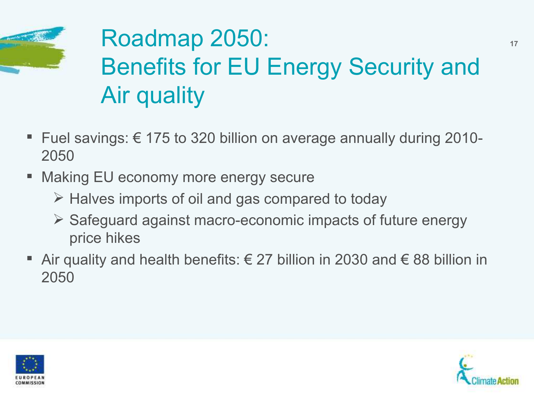

# Roadmap 2050: Benefits for EU Energy Security and Air quality

- Fuel savings: € 175 to 320 billion on average annually during 2010- 2050
- Making EU economy more energy secure
	- $\triangleright$  Halves imports of oil and gas compared to today
	- $\triangleright$  Safeguard against macro-economic impacts of future energy price hikes
- Air quality and health benefits:  $\epsilon$  27 billion in 2030 and  $\epsilon$  88 billion in 2050



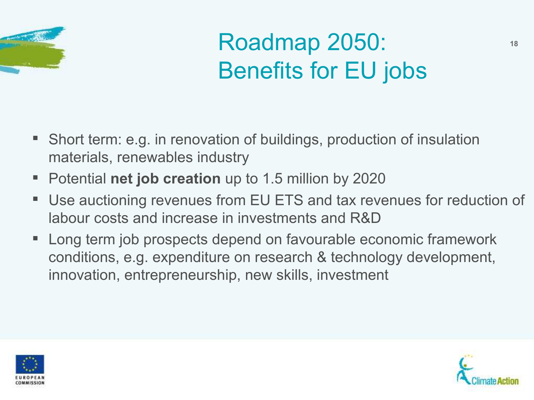

# Roadmap 2050: Benefits for EU jobs

- Short term: e.g. in renovation of buildings, production of insulation materials, renewables industry
- Potential **net job creation** up to 1.5 million by 2020
- Use auctioning revenues from EU ETS and tax revenues for reduction of labour costs and increase in investments and R&D
- **-** Long term job prospects depend on favourable economic framework conditions, e.g. expenditure on research & technology development, innovation, entrepreneurship, new skills, investment



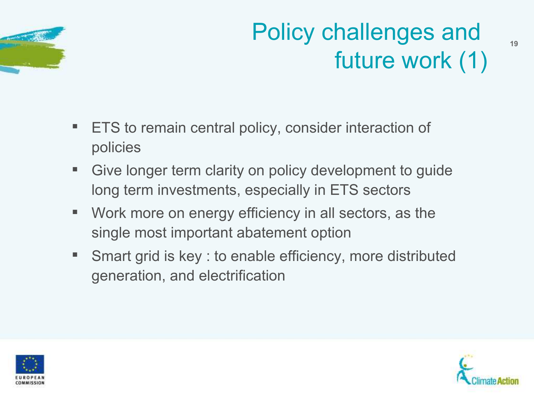

### Policy challenges and future work (1)

- ETS to remain central policy, consider interaction of policies
- Give longer term clarity on policy development to guide long term investments, especially in ETS sectors
- Work more on energy efficiency in all sectors, as the single most important abatement option
- **Smart grid is key : to enable efficiency, more distributed** generation, and electrification



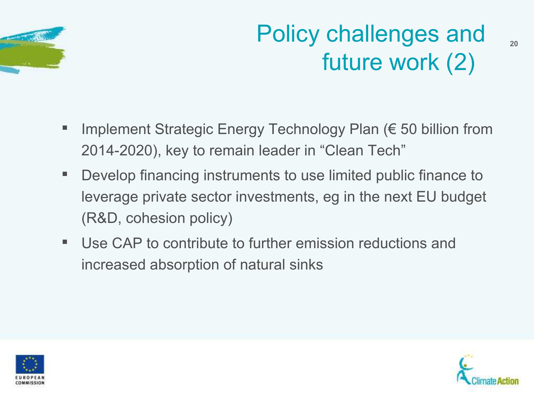

### Policy challenges and future work (2)

- Implement Strategic Energy Technology Plan (€ 50 billion from 2014-2020), key to remain leader in "Clean Tech"
- **Develop financing instruments to use limited public finance to** leverage private sector investments, eg in the next EU budget (R&D, cohesion policy)
- Use CAP to contribute to further emission reductions and increased absorption of natural sinks



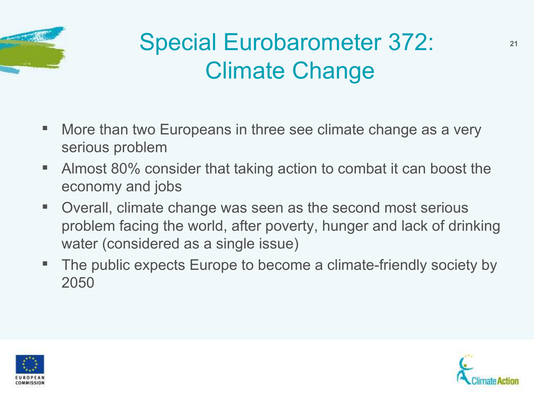

### Special Eurobarometer 372: **<sup>21</sup>** Climate Change

- More than two Europeans in three see climate change as a very serious problem
- Almost 80% consider that taking action to combat it can boost the economy and jobs
- Overall, climate change was seen as the second most serious problem facing the world, after poverty, hunger and lack of drinking water (considered as a single issue)
- The public expects Europe to become a climate-friendly society by 2050